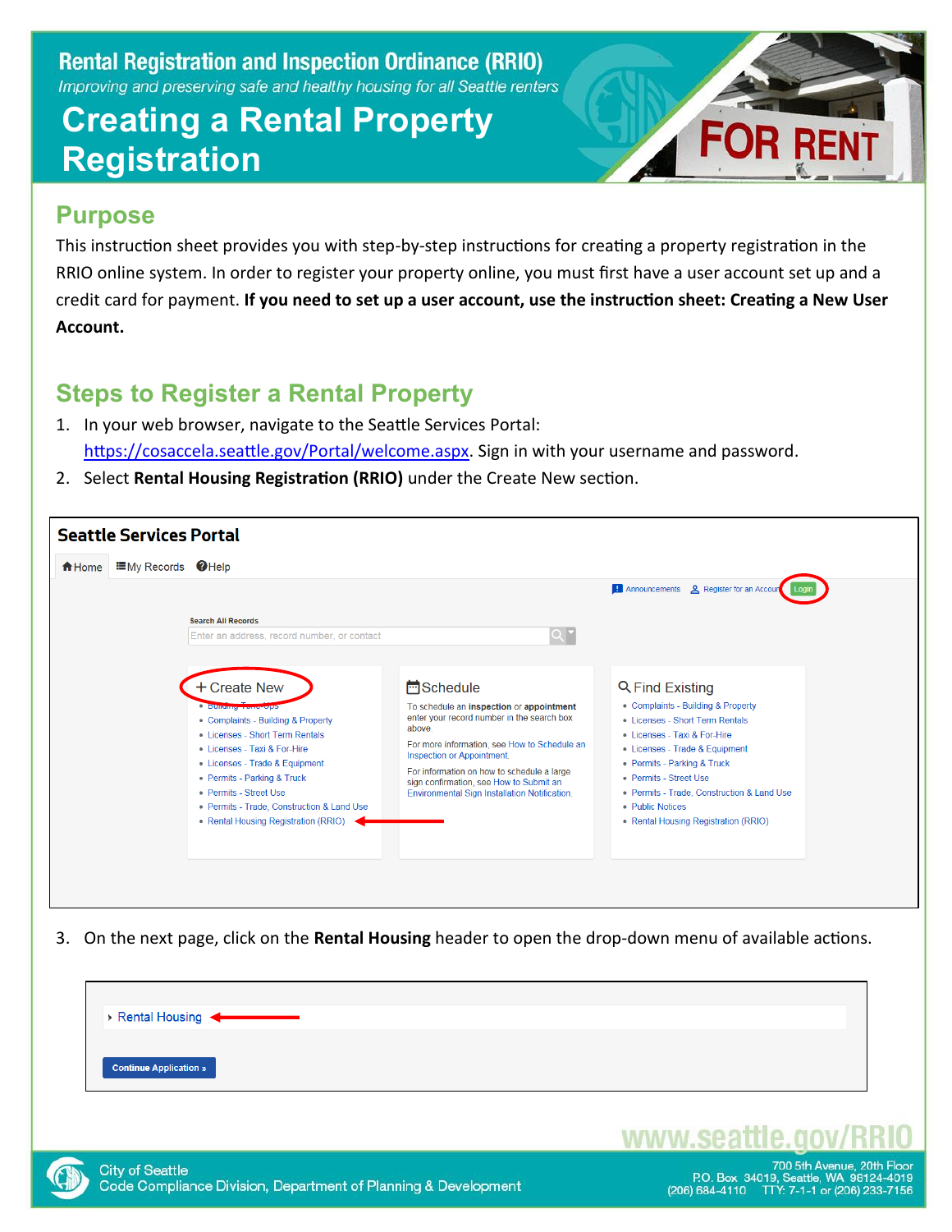### **Creating a Rental Property Registration**



### **Purpose**

This instruction sheet provides you with step-by-step instructions for creating a property registration in the RRIO online system. In order to register your property online, you must first have a user account set up and a credit card for payment. **If you need to set up a user account, use the instruction sheet: Creating a New User Account.**

### **Steps to Register a Rental Property**

- 1. In your web browser, navigate to the Seattle Services Portal: [https://cosaccela.seattle.gov/Portal/welcome.aspx.](https://cosaccela.seattle.gov/Portal/welcome.aspx) Sign in with your username and password.
- 2. Select **Rental Housing Registration (RRIO)** under the Create New section.

| $\equiv$ My Records $\bigcirc$ Help<br><del>n</del> Home |                                                                                                                                                                                                                                                                                                                                         |                                                                                                                                                                                                                                                                                                                                               |                                                                                                                                                                                                                                                                                                                               |
|----------------------------------------------------------|-----------------------------------------------------------------------------------------------------------------------------------------------------------------------------------------------------------------------------------------------------------------------------------------------------------------------------------------|-----------------------------------------------------------------------------------------------------------------------------------------------------------------------------------------------------------------------------------------------------------------------------------------------------------------------------------------------|-------------------------------------------------------------------------------------------------------------------------------------------------------------------------------------------------------------------------------------------------------------------------------------------------------------------------------|
|                                                          | <b>Search All Records</b><br>Enter an address, record number, or contact                                                                                                                                                                                                                                                                | $Q^{\bullet}$                                                                                                                                                                                                                                                                                                                                 | <b>Announcements 2</b> Register for an Account                                                                                                                                                                                                                                                                                |
|                                                          | + Create New<br><b>C Bullianny France UPS</b><br>• Complaints - Building & Property<br>• Licenses - Short Term Rentals<br>• Licenses - Taxi & For-Hire<br>• Licenses - Trade & Equipment<br>• Permits - Parking & Truck<br>• Permits - Street Use<br>• Permits - Trade, Construction & Land Use<br>• Rental Housing Registration (RRIO) | <b>H</b> Schedule<br>To schedule an inspection or appointment<br>enter your record number in the search box<br>above.<br>For more information, see How to Schedule an<br>Inspection or Appointment.<br>For information on how to schedule a large<br>sign confirmation, see How to Submit an<br>Environmental Sign Installation Notification. | Q Find Existing<br>• Complaints - Building & Property<br>• Licenses - Short Term Rentals<br>• Licenses - Taxi & For-Hire<br>• Licenses - Trade & Equipment<br>• Permits - Parking & Truck<br>• Permits - Street Use<br>• Permits - Trade, Construction & Land Use<br>• Public Notices<br>• Rental Housing Registration (RRIO) |

3. On the next page, click on the **Rental Housing** header to open the drop-down menu of available actions.





www.seattle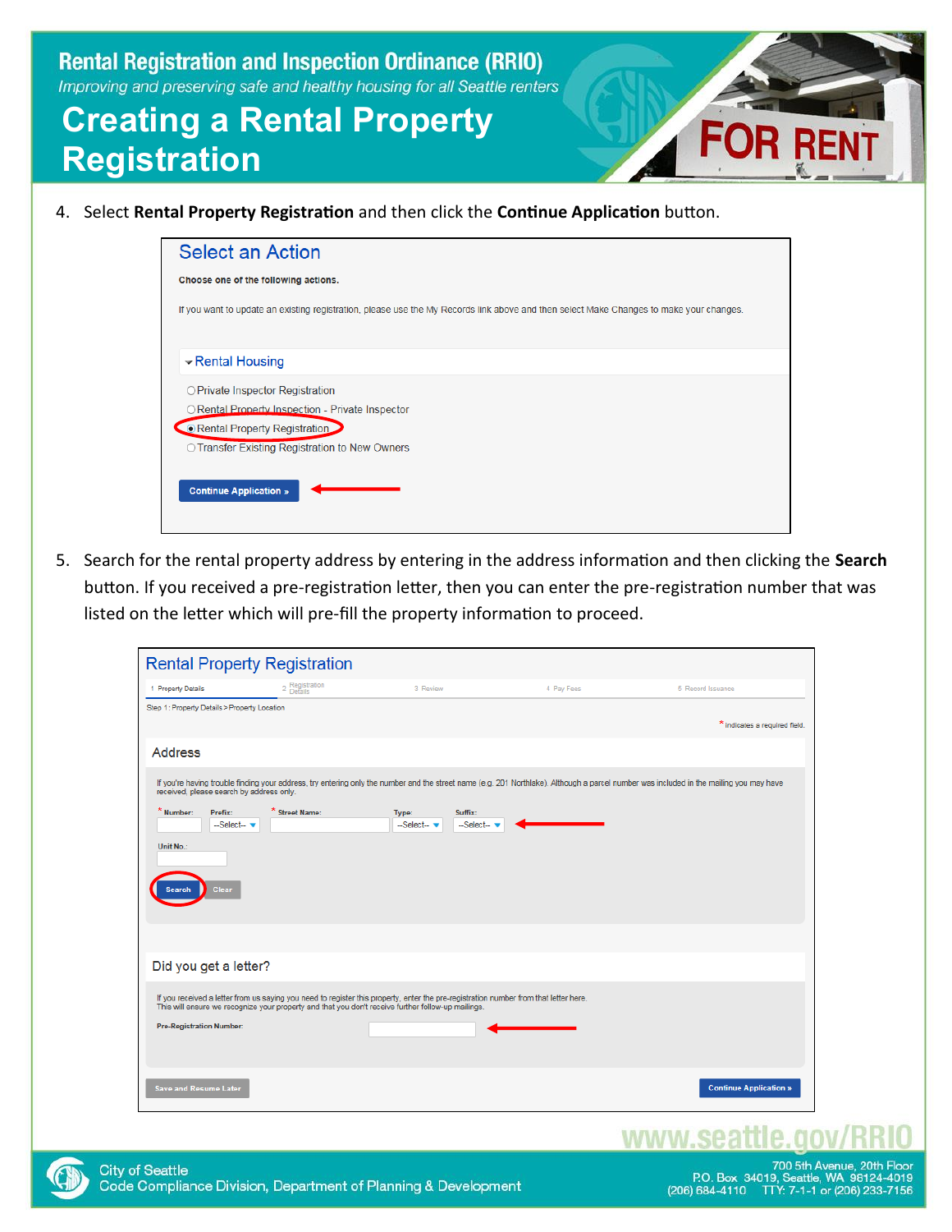# **Creating a Rental Property Registration**

4. Select **Rental Property Registration** and then click the **Continue Application** button.

5. Search for the rental property address by entering in the address information and then clicking the **Search** button. If you received a pre-registration letter, then you can enter the pre-registration number that was listed on the letter which will pre-fill the property information to proceed.

| 1 Property Details                           | 2 Registration<br>Details                                                                          | 3 Review                                                                                                                             | 4 Pay Fees | 5 Record Issuance                                                                                                                                                                       |
|----------------------------------------------|----------------------------------------------------------------------------------------------------|--------------------------------------------------------------------------------------------------------------------------------------|------------|-----------------------------------------------------------------------------------------------------------------------------------------------------------------------------------------|
| Step 1: Property Details > Property Location |                                                                                                    |                                                                                                                                      |            |                                                                                                                                                                                         |
|                                              |                                                                                                    |                                                                                                                                      |            | * indicates a required field.                                                                                                                                                           |
|                                              |                                                                                                    |                                                                                                                                      |            |                                                                                                                                                                                         |
| <b>Address</b>                               |                                                                                                    |                                                                                                                                      |            |                                                                                                                                                                                         |
|                                              |                                                                                                    |                                                                                                                                      |            | If you're having trouble finding your address, try entering only the number and the street name (e.g. 201 Northlake). Although a parcel number was included in the mailing you may have |
| received, please search by address only.     |                                                                                                    |                                                                                                                                      |            |                                                                                                                                                                                         |
| * Number:<br>Prefix:                         | * Street Name:                                                                                     | Type:<br>Suffix:                                                                                                                     |            |                                                                                                                                                                                         |
| -Select- v                                   |                                                                                                    | -Select--<br>-Select- v                                                                                                              |            |                                                                                                                                                                                         |
| Unit No.:                                    |                                                                                                    |                                                                                                                                      |            |                                                                                                                                                                                         |
|                                              |                                                                                                    |                                                                                                                                      |            |                                                                                                                                                                                         |
| Clear                                        |                                                                                                    |                                                                                                                                      |            |                                                                                                                                                                                         |
|                                              |                                                                                                    |                                                                                                                                      |            |                                                                                                                                                                                         |
|                                              |                                                                                                    |                                                                                                                                      |            |                                                                                                                                                                                         |
|                                              |                                                                                                    |                                                                                                                                      |            |                                                                                                                                                                                         |
| Did you get a letter?                        |                                                                                                    |                                                                                                                                      |            |                                                                                                                                                                                         |
|                                              |                                                                                                    |                                                                                                                                      |            |                                                                                                                                                                                         |
|                                              | This will ensure we recognize your property and that you don't receive further follow-up mailings. | If you received a letter from us saying you need to register this property, enter the pre-registration number from that letter here. |            |                                                                                                                                                                                         |
|                                              |                                                                                                    |                                                                                                                                      |            |                                                                                                                                                                                         |
|                                              |                                                                                                    |                                                                                                                                      |            |                                                                                                                                                                                         |
| <b>Pre-Registration Number:</b>              |                                                                                                    |                                                                                                                                      |            |                                                                                                                                                                                         |
|                                              |                                                                                                    |                                                                                                                                      |            |                                                                                                                                                                                         |
|                                              |                                                                                                    |                                                                                                                                      |            |                                                                                                                                                                                         |

### www.seattle.



700 5th Avenue, 20th Floor<br>P.O. Box 34019, Seattle, WA 98124-4019 (206) 684-4110 TTY: 7-1-1 or (206) 233-7156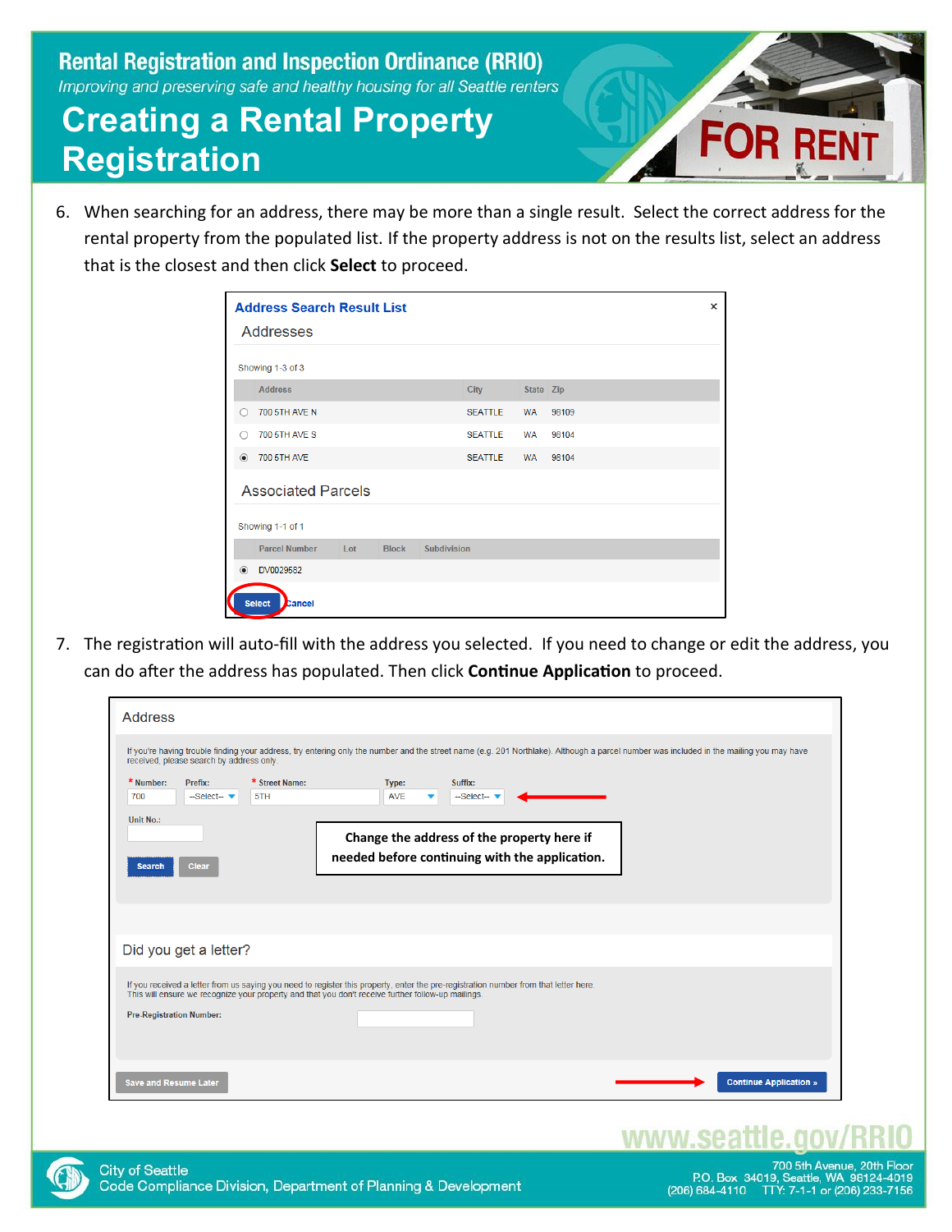# **Creating a Rental Property Registration**



6. When searching for an address, there may be more than a single result. Select the correct address for the rental property from the populated list. If the property address is not on the results list, select an address that is the closest and then click **Select** to proceed.

|         | <b>Address Search Result List</b> |     |              |                    |                |           |       | $\times$ |
|---------|-----------------------------------|-----|--------------|--------------------|----------------|-----------|-------|----------|
|         | Addresses                         |     |              |                    |                |           |       |          |
|         | Showing 1-3 of 3                  |     |              |                    |                |           |       |          |
|         | <b>Address</b>                    |     |              |                    | <b>City</b>    | State Zip |       |          |
| Ω       | <b>700 5TH AVE N</b>              |     |              |                    | <b>SEATTLE</b> | <b>WA</b> | 98109 |          |
| ∩       | <b>700 5TH AVE S</b>              |     |              |                    | <b>SEATTLE</b> | <b>WA</b> | 98104 |          |
| $\odot$ | <b>700 5TH AVE</b>                |     |              |                    | <b>SEATTLE</b> | <b>WA</b> | 98104 |          |
|         | <b>Associated Parcels</b>         |     |              |                    |                |           |       |          |
|         | Showing 1-1 of 1                  |     |              |                    |                |           |       |          |
|         | <b>Parcel Number</b>              | Lot | <b>Block</b> | <b>Subdivision</b> |                |           |       |          |
| $\odot$ | DV0029582                         |     |              |                    |                |           |       |          |
|         | <b>Select</b><br>Cancel           |     |              |                    |                |           |       |          |

7. The registration will auto-fill with the address you selected. If you need to change or edit the address, you can do after the address has populated. Then click **Continue Application** to proceed.

| <b>Address</b>                                                                                                                                                                                                                                                                                                                                                                                                                                                                                                                |
|-------------------------------------------------------------------------------------------------------------------------------------------------------------------------------------------------------------------------------------------------------------------------------------------------------------------------------------------------------------------------------------------------------------------------------------------------------------------------------------------------------------------------------|
| If you're having trouble finding your address, try entering only the number and the street name (e.g. 201 Northlake). Although a parcel number was included in the mailing you may have<br>received, please search by address only.<br>* Street Name:<br>* Number:<br>Prefix:<br>Suffix:<br>Type:<br>5TH<br><b>AVE</b><br>700<br>$-$ Select $ \blacktriangledown$<br>--Select--<br>Unit No.:<br>Change the address of the property here if<br>needed before continuing with the application.<br><b>Clear</b><br><b>Search</b> |
| Did you get a letter?                                                                                                                                                                                                                                                                                                                                                                                                                                                                                                         |
| If you received a letter from us saying you need to register this property, enter the pre-registration number from that letter here.<br>This will ensure we recognize your property and that you don't receive further follow-up mailings.<br><b>Pre-Registration Number:</b>                                                                                                                                                                                                                                                 |
| <b>Continue Application »</b><br><b>Save and Resume Later</b>                                                                                                                                                                                                                                                                                                                                                                                                                                                                 |

### www.sea

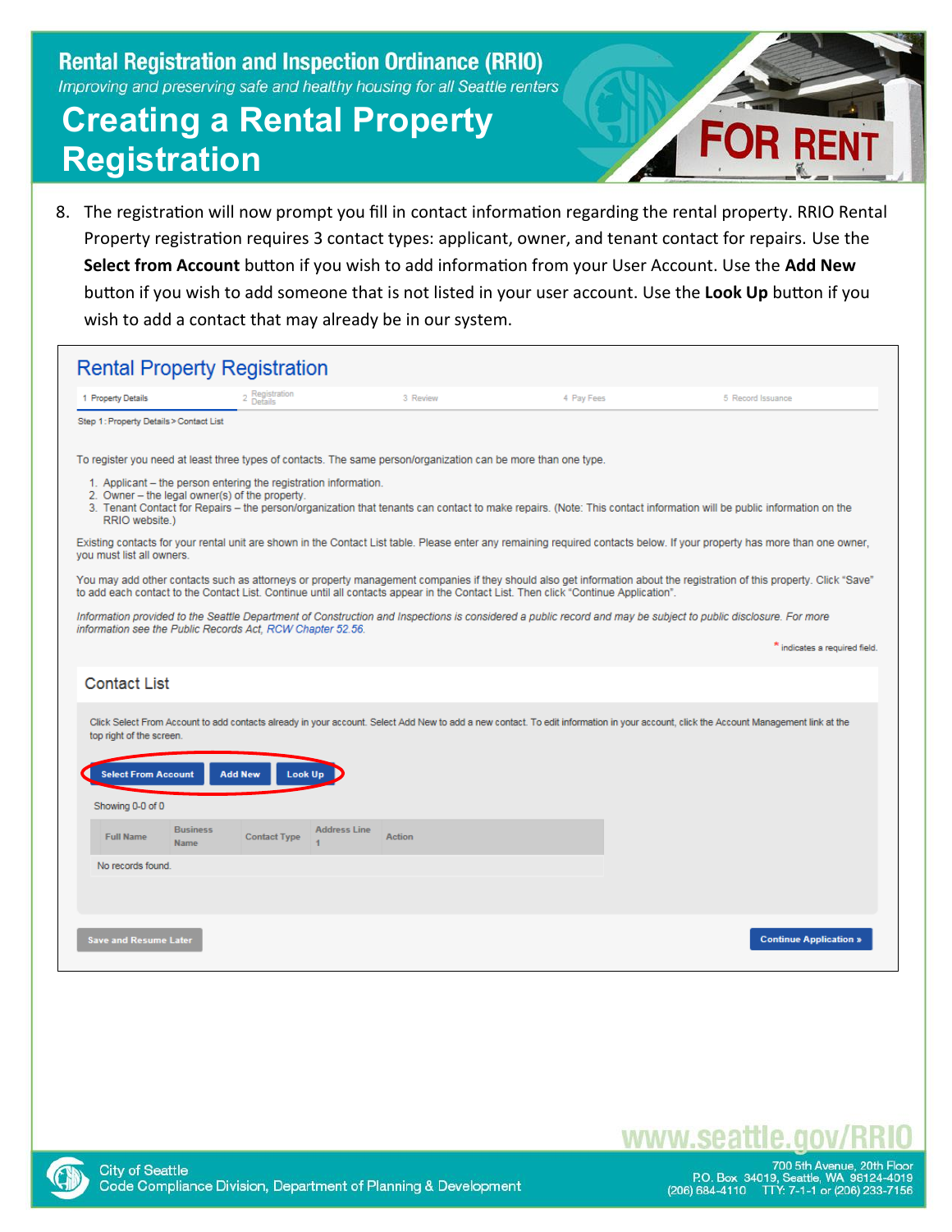# **Creating a Rental Property Registration**



8. The registration will now prompt you fill in contact information regarding the rental property. RRIO Rental Property registration requires 3 contact types: applicant, owner, and tenant contact for repairs. Use the **Select from Account** button if you wish to add information from your User Account. Use the **Add New** button if you wish to add someone that is not listed in your user account. Use the **Look Up** button if you wish to add a contact that may already be in our system.

|                                         | <b>Rental Property Registration</b>                                                                                                 |                     |          |            |                                                                                                                                                                                       |
|-----------------------------------------|-------------------------------------------------------------------------------------------------------------------------------------|---------------------|----------|------------|---------------------------------------------------------------------------------------------------------------------------------------------------------------------------------------|
| 1 Property Details                      | 2 Registration<br>Details                                                                                                           |                     | 3 Review | 4 Pay Fees | 5 Record Issuance                                                                                                                                                                     |
| Step 1: Property Details > Contact List |                                                                                                                                     |                     |          |            |                                                                                                                                                                                       |
|                                         | To register you need at least three types of contacts. The same person/organization can be more than one type.                      |                     |          |            |                                                                                                                                                                                       |
| RRIO website.)                          | 1. Applicant - the person entering the registration information.<br>2. Owner - the legal owner(s) of the property.                  |                     |          |            | 3. Tenant Contact for Repairs - the person/organization that tenants can contact to make repairs. (Note: This contact information will be public information on the                   |
| you must list all owners.               |                                                                                                                                     |                     |          |            | Existing contacts for your rental unit are shown in the Contact List table. Please enter any remaining required contacts below. If your property has more than one owner,             |
|                                         | to add each contact to the Contact List. Continue until all contacts appear in the Contact List. Then click "Continue Application". |                     |          |            | You may add other contacts such as attorneys or property management companies if they should also get information about the registration of this property. Click "Save"               |
|                                         | information see the Public Records Act, RCW Chapter 52.56.                                                                          |                     |          |            | Information provided to the Seattle Department of Construction and Inspections is considered a public record and may be subject to public disclosure. For more                        |
|                                         |                                                                                                                                     |                     |          |            | * indicates a required field.                                                                                                                                                         |
| <b>Contact List</b>                     |                                                                                                                                     |                     |          |            |                                                                                                                                                                                       |
| top right of the screen.                |                                                                                                                                     |                     |          |            | Click Select From Account to add contacts already in your account. Select Add New to add a new contact. To edit information in your account, click the Account Management link at the |
| <b>Select From Account</b>              | <b>Add New</b><br>Look Up                                                                                                           |                     |          |            |                                                                                                                                                                                       |
| Showing 0-0 of 0                        |                                                                                                                                     |                     |          |            |                                                                                                                                                                                       |
| <b>Full Name</b><br>Name                | <b>Business</b><br><b>Contact Type</b>                                                                                              | <b>Address Line</b> | Action   |            |                                                                                                                                                                                       |
| No records found                        |                                                                                                                                     |                     |          |            |                                                                                                                                                                                       |
|                                         |                                                                                                                                     |                     |          |            |                                                                                                                                                                                       |
| <b>Save and Resume Later</b>            |                                                                                                                                     |                     |          |            | <b>Continue Application »</b>                                                                                                                                                         |



700 5th Avenue, 20th Floor<br>P.O. Box 34019, Seattle, WA 98124-4019<br>206) 684-4110 TTY: 7-1-1 or (206) 233-7156

www.seat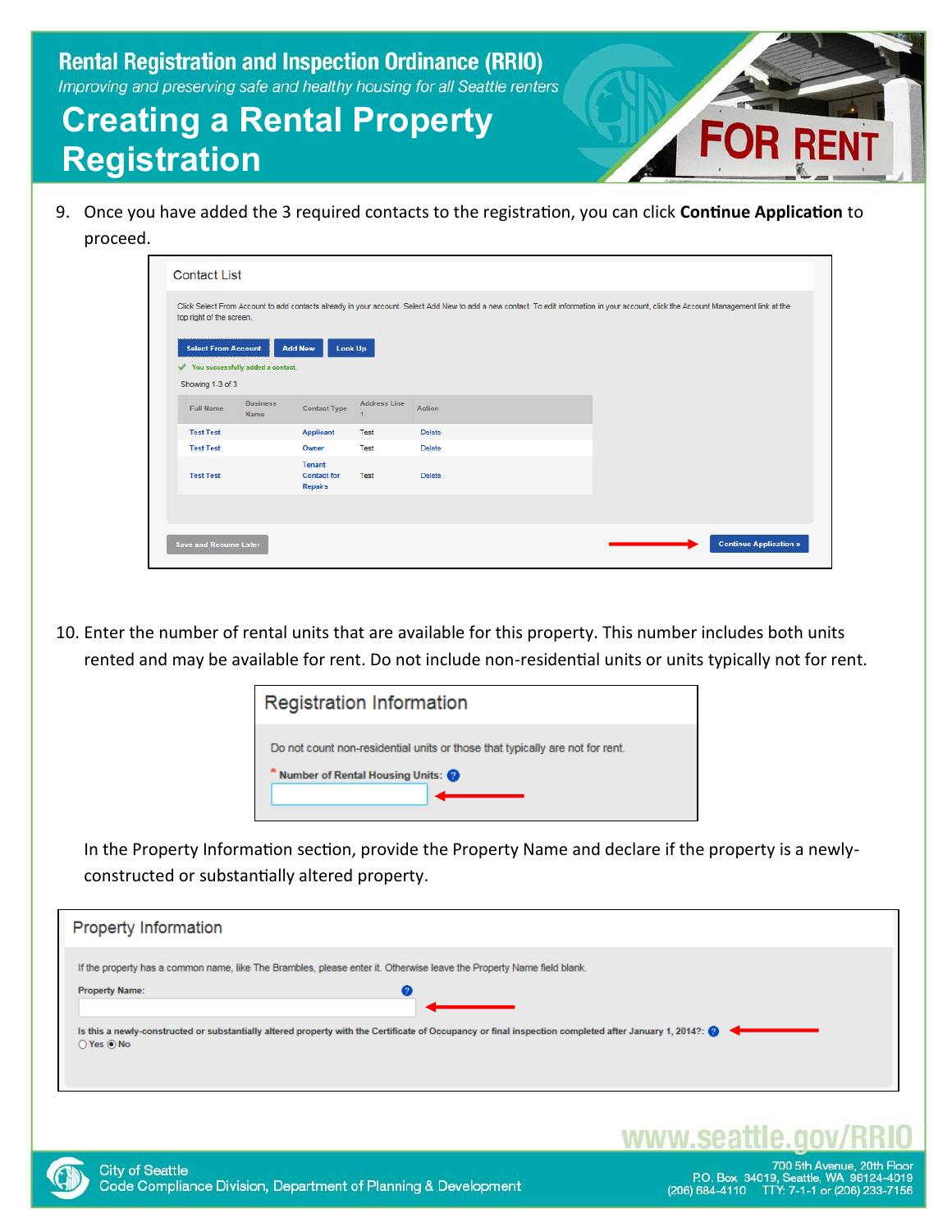# **Creating a Rental Property Registration**

9. Once you have added the 3 required contacts to the registration, you can click **Continue Application** to proceed.

| top right of the screen.   |                                   |                                         |                     |        |  |
|----------------------------|-----------------------------------|-----------------------------------------|---------------------|--------|--|
| <b>Select From Account</b> |                                   | <b>Look Up</b><br><b>Add New</b>        |                     |        |  |
|                            | You successfully added a contact. |                                         |                     |        |  |
| Showing 1-3 of 3           |                                   |                                         |                     |        |  |
| <b>Full Name</b>           | <b>Business</b><br><b>Name</b>    | <b>Contact Type</b>                     | <b>Address Line</b> | Action |  |
| <b>Test Test</b>           |                                   | <b>Applicant</b>                        | Test                | Delete |  |
| <b>Test Test</b>           |                                   | Owner                                   | Test                | Delete |  |
| <b>Test Test</b>           |                                   | Tenant<br><b>Contact for</b><br>Repairs | Test                | Delete |  |
|                            |                                   |                                         |                     |        |  |

10. Enter the number of rental units that are available for this property. This number includes both units rented and may be available for rent. Do not include non-residential units or units typically not for rent.



In the Property Information section, provide the Property Name and declare if the property is a newlyconstructed or substantially altered property.

| <b>Property Information</b>                                                                                                                                                      |
|----------------------------------------------------------------------------------------------------------------------------------------------------------------------------------|
| If the property has a common name, like The Brambles, please enter it. Otherwise leave the Property Name field blank.<br><b>Property Name:</b>                                   |
| Is this a newly-constructed or substantially altered property with the Certificate of Occupancy or final inspection completed after January 1, 2014?: $\bigotimes$<br>○ Yes ◉ No |
|                                                                                                                                                                                  |

### www.seat



700 5th Avenue, 20th Floor<br>P.O. Box 34019, Seattle, WA 98124-4019 (206) 684-4110 TTY: 7-1-1 or (206) 233-7156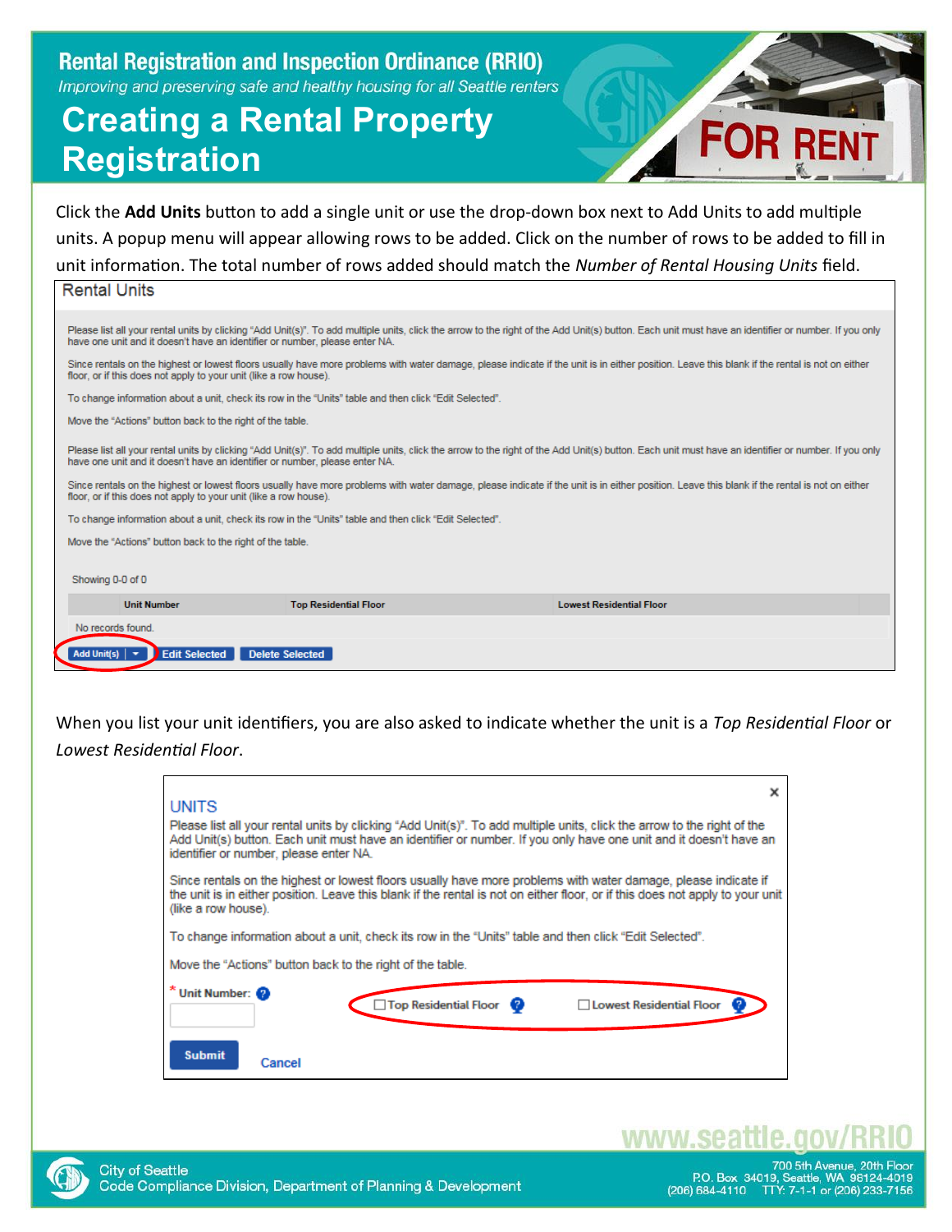# **Creating a Rental Property Registration**



Click the **Add Units** button to add a single unit or use the drop-down box next to Add Units to add multiple units. A popup menu will appear allowing rows to be added. Click on the number of rows to be added to fill in unit information. The total number of rows added should match the *Number of Rental Housing Units* field.

### **Rental Units**

| Please list all your rental units by clicking "Add Unit(s)". To add multiple units, click the arrow to the right of the Add Unit(s) button. Each unit must have an identifier or number. If you only<br>have one unit and it doesn't have an identifier or number, please enter NA. |                        |  |  |  |  |  |  |
|-------------------------------------------------------------------------------------------------------------------------------------------------------------------------------------------------------------------------------------------------------------------------------------|------------------------|--|--|--|--|--|--|
| Since rentals on the highest or lowest floors usually have more problems with water damage, please indicate if the unit is in either position. Leave this blank if the rental is not on either<br>floor, or if this does not apply to your unit (like a row house).                 |                        |  |  |  |  |  |  |
| To change information about a unit, check its row in the "Units" table and then click "Edit Selected".                                                                                                                                                                              |                        |  |  |  |  |  |  |
| Move the "Actions" button back to the right of the table.                                                                                                                                                                                                                           |                        |  |  |  |  |  |  |
| Please list all your rental units by clicking "Add Unit(s)". To add multiple units, click the arrow to the right of the Add Unit(s) button. Each unit must have an identifier or number. If you only<br>have one unit and it doesn't have an identifier or number, please enter NA. |                        |  |  |  |  |  |  |
| Since rentals on the highest or lowest floors usually have more problems with water damage, please indicate if the unit is in either position. Leave this blank if the rental is not on either<br>floor, or if this does not apply to your unit (like a row house).                 |                        |  |  |  |  |  |  |
| To change information about a unit, check its row in the "Units" table and then click "Edit Selected".                                                                                                                                                                              |                        |  |  |  |  |  |  |
| Move the "Actions" button back to the right of the table.                                                                                                                                                                                                                           |                        |  |  |  |  |  |  |
| Showing 0-0 of 0                                                                                                                                                                                                                                                                    |                        |  |  |  |  |  |  |
| <b>Unit Number</b><br><b>Lowest Residential Floor</b><br><b>Top Residential Floor</b>                                                                                                                                                                                               |                        |  |  |  |  |  |  |
| No records found.                                                                                                                                                                                                                                                                   |                        |  |  |  |  |  |  |
| <b>Edit Selected</b><br>Add Unit(s) $\vert \mathbf{v} \vert$                                                                                                                                                                                                                        | <b>Delete Selected</b> |  |  |  |  |  |  |

When you list your unit identifiers, you are also asked to indicate whether the unit is a *Top Residential Floor* or *Lowest Residential Floor*.

| <b>UNITS</b>                                                                                                                                                                                                                                                                           |
|----------------------------------------------------------------------------------------------------------------------------------------------------------------------------------------------------------------------------------------------------------------------------------------|
| Please list all your rental units by clicking "Add Unit(s)". To add multiple units, click the arrow to the right of the<br>Add Unit(s) button. Each unit must have an identifier or number. If you only have one unit and it doesn't have an<br>identifier or number, please enter NA. |
| Since rentals on the highest or lowest floors usually have more problems with water damage, please indicate if<br>the unit is in either position. Leave this blank if the rental is not on either floor, or if this does not apply to your unit<br>(like a row house).                 |
| ."To change information about a unit, check its row in the "Units" table and then click "Edit Selected                                                                                                                                                                                 |
| Move the "Actions" button back to the right of the table.                                                                                                                                                                                                                              |
| * Unit Number: 2<br>Top Residential Floor<br>□ Lowest Residential Floor                                                                                                                                                                                                                |
| <b>Submit</b><br>Cancel                                                                                                                                                                                                                                                                |



www.seat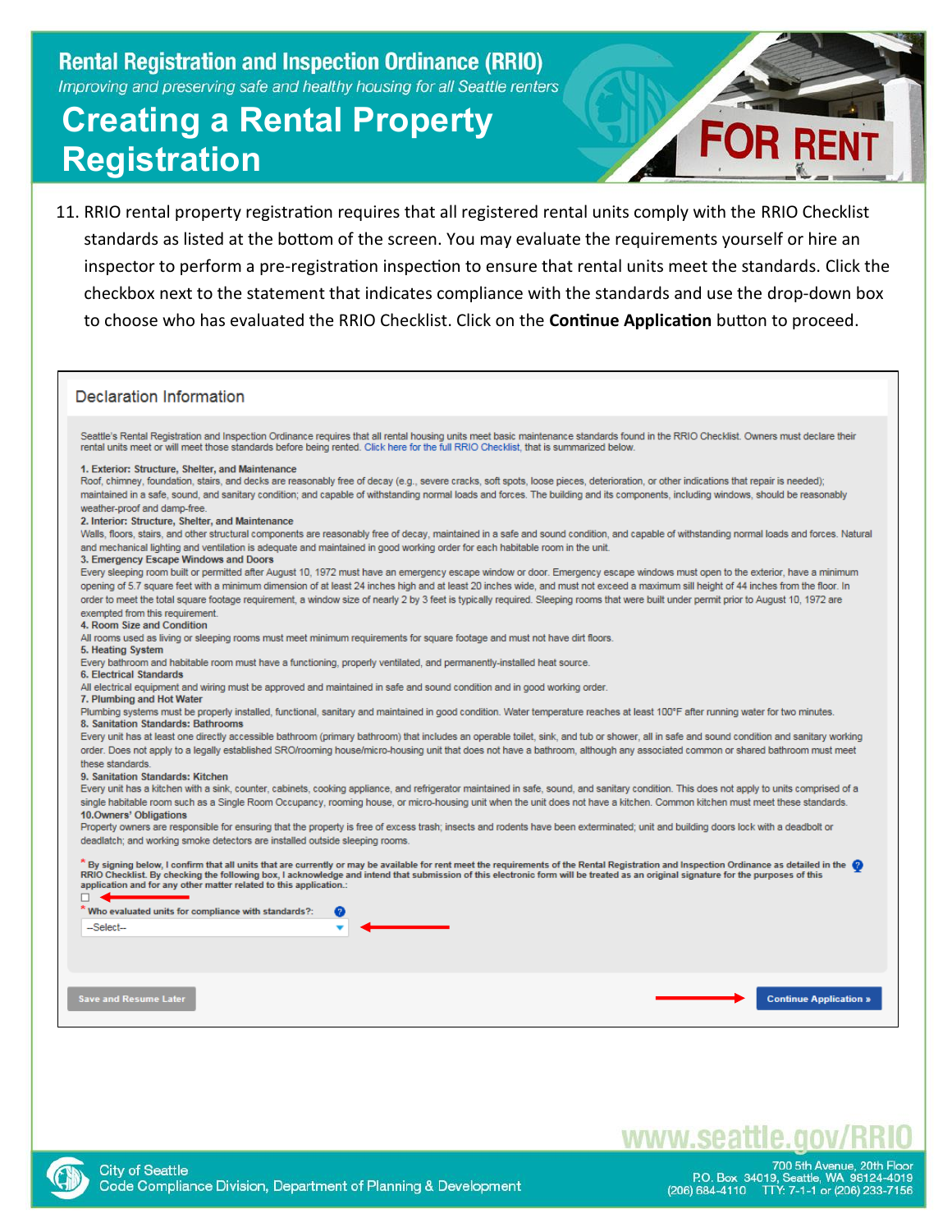# **Creating a Rental Property Registration**



11. RRIO rental property registration requires that all registered rental units comply with the RRIO Checklist standards as listed at the bottom of the screen. You may evaluate the requirements yourself or hire an inspector to perform a pre-registration inspection to ensure that rental units meet the standards. Click the checkbox next to the statement that indicates compliance with the standards and use the drop-down box to choose who has evaluated the RRIO Checklist. Click on the **Continue Application** button to proceed.

#### **Declaration Information**

Seattle's Rental Registration and Inspection Ordinance requires that all rental housing units meet basic maintenance standards found in the RRIO Checklist. Owners must declare their rental units meet or will meet those standards before being rented. Click here for the full RRIO Checklist, that is summarized below

#### 1. Exterior: Structure, Shelter, and Maintenance

Roof, chimney, foundation, stairs, and decks are reasonably free of decay (e.g., severe cracks, soft spots, loose pieces, deterioration, or other indications that repair is needed); maintained in a safe, sound, and sanitary condition; and capable of withstanding normal loads and forces. The building and its components, including windows, should be reasonably weather-proof and damp-free.

#### 2. Interior: Structure, Shelter, and Maintenance

Walls, floors, stairs, and other structural components are reasonably free of decay, maintained in a safe and sound condition, and capable of withstanding normal loads and forces. Natural and mechanical lighting and ventilation is adequate and maintained in good working order for each habitable room in the unit

#### 3. Emergency Escape Windows and Doors

Every sleeping room built or permitted after August 10, 1972 must have an emergency escape window or door. Emergency escape windows must open to the exterior, have a minimum opening of 5.7 square feet with a minimum dimension of at least 24 inches high and at least 20 inches wide, and must not exceed a maximum sill height of 44 inches from the floor. In order to meet the total square footage requirement, a window size of nearly 2 by 3 feet is typically required. Sleeping rooms that were built under permit prior to August 10, 1972 are exempted from this requirement.

#### 4. Room Size and Condition

All rooms used as living or sleeping rooms must meet minimum requirements for square footage and must not have dirt floors

#### 5. Heating System

Every bathroom and habitable room must have a functioning, properly ventilated, and permanently-installed heat source

#### **6. Electrical Standards**

All electrical equipment and wiring must be approved and maintained in safe and sound condition and in good working order.

#### 7. Plumbing and Hot Water

Plumbing systems must be properly installed, functional, sanitary and maintained in good condition. Water temperature reaches at least 100°F after running water for two minutes. 8. Sanitation Standards: Bathrooms

Every unit has at least one directly accessible bathroom (primary bathroom) that includes an operable toilet, sink, and tub or shower, all in safe and sound condition and sanitary working order. Does not apply to a legally established SRO/rooming house/micro-housing unit that does not have a bathroom, although any associated common or shared bathroom must meet these standards

#### 9. Sanitation Standards: Kitchen

Every unit has a kitchen with a sink, counter, cabinets, cooking appliance, and refrigerator maintained in safe, sound, and sanitary condition. This does not apply to units comprised of a single habitable room such as a Single Room Occupancy, rooming house, or micro-housing unit when the unit does not have a kitchen. Common kitchen must meet these standards. 10.Owners' Obligations

Property owners are responsible for ensuring that the property is free of excess trash: insects and rodents have been exterminated: unit and building doors lock with a deadbolt or deadlatch; and working smoke detectors are installed outside sleeping rooms.

 $^*$  By signing below, I confirm that all units that are currently or may be available for rent meet the requirements of the Rental Registration and Inspection Ordinance as detailed in the  $\bullet$ <br>RRIO Checklist. By checking application and for any other matter related to this application.:

| __<br>* Who evaluated units for compliance with standards?: | മ |                                              |
|-------------------------------------------------------------|---|----------------------------------------------|
| -Select-                                                    |   | <u> The Common State Common State Common</u> |
|                                                             |   |                                              |
|                                                             |   |                                              |
|                                                             |   |                                              |
| <b>Save and Resume Later</b>                                |   |                                              |
|                                                             |   |                                              |



www.seattle.gov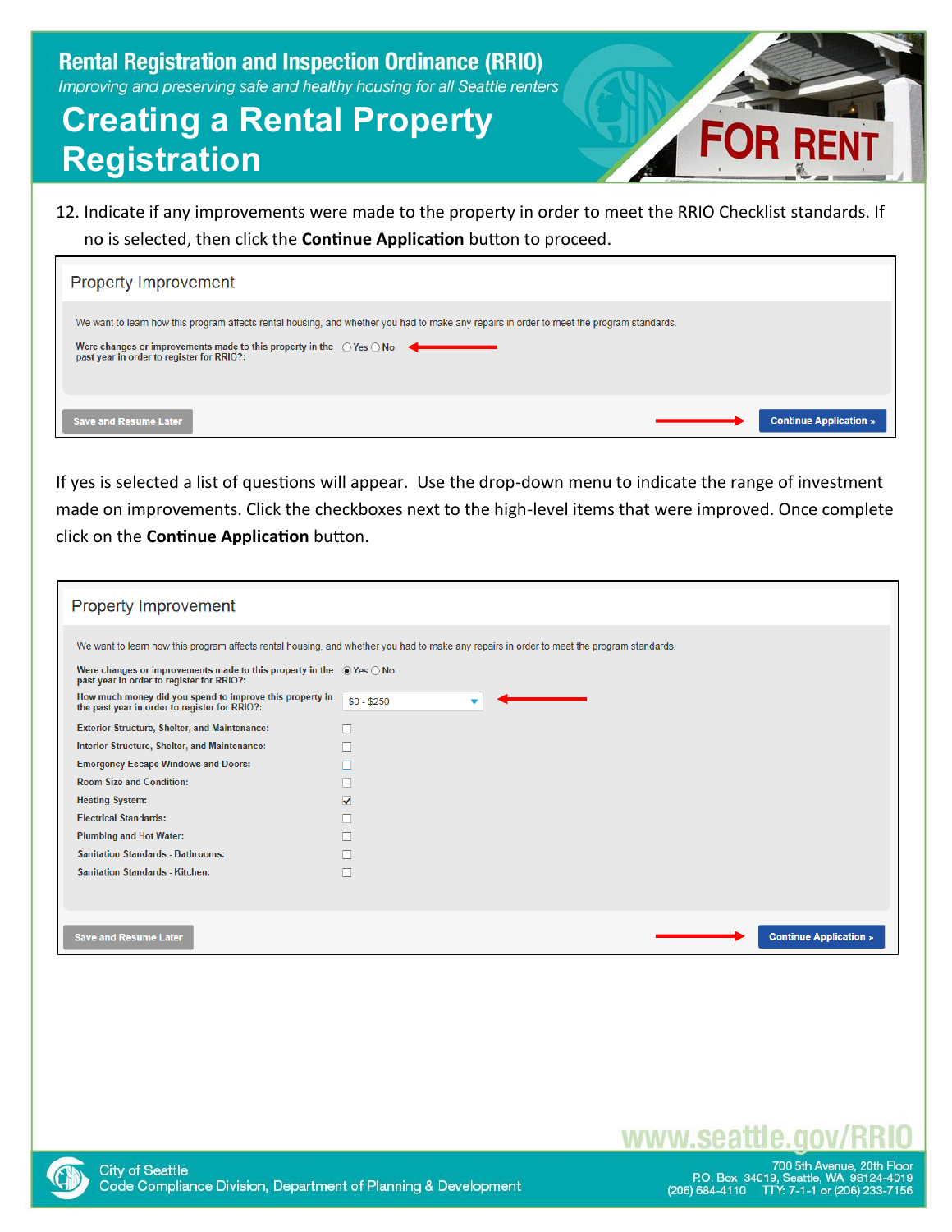## **Creating a Rental Property Registration**

- 
- 12. Indicate if any improvements were made to the property in order to meet the RRIO Checklist standards. If no is selected, then click the **Continue Application** button to proceed.

| <b>Property Improvement</b>                                                                                                                                                                                                                                                      |
|----------------------------------------------------------------------------------------------------------------------------------------------------------------------------------------------------------------------------------------------------------------------------------|
| We want to learn how this program affects rental housing, and whether you had to make any repairs in order to meet the program standards.<br>Were changes or improvements made to this property in the $\bigcirc$ Yes $\bigcirc$ No<br>past year in order to register for RRIO?: |
| <b>Continue Application »</b><br><b>Save and Resume Later</b>                                                                                                                                                                                                                    |

If yes is selected a list of questions will appear. Use the drop-down menu to indicate the range of investment made on improvements. Click the checkboxes next to the high-level items that were improved. Once complete click on the **Continue Application** button.

| Property Improvement                                                                                                            |                                                                                                                                           |
|---------------------------------------------------------------------------------------------------------------------------------|-------------------------------------------------------------------------------------------------------------------------------------------|
|                                                                                                                                 | We want to learn how this program affects rental housing, and whether you had to make any repairs in order to meet the program standards. |
| Were changes or improvements made to this property in the $\bullet$ Yes $\circ$ No<br>past year in order to register for RRIO?: |                                                                                                                                           |
| How much money did you spend to improve this property in<br>the past year in order to register for RRIO?:                       | $$0 - $250$                                                                                                                               |
| <b>Exterior Structure, Shelter, and Maintenance:</b>                                                                            |                                                                                                                                           |
| Interior Structure, Shelter, and Maintenance:                                                                                   |                                                                                                                                           |
| <b>Emergency Escape Windows and Doors:</b>                                                                                      |                                                                                                                                           |
| <b>Room Size and Condition:</b>                                                                                                 |                                                                                                                                           |
| <b>Heating System:</b>                                                                                                          | ✓                                                                                                                                         |
| <b>Electrical Standards:</b>                                                                                                    |                                                                                                                                           |
| <b>Plumbing and Hot Water:</b>                                                                                                  |                                                                                                                                           |
| <b>Sanitation Standards - Bathrooms:</b>                                                                                        |                                                                                                                                           |
| <b>Sanitation Standards - Kitchen:</b>                                                                                          |                                                                                                                                           |
|                                                                                                                                 |                                                                                                                                           |
| <b>Save and Resume Later</b>                                                                                                    | <b>Continue Application »</b>                                                                                                             |



www.sea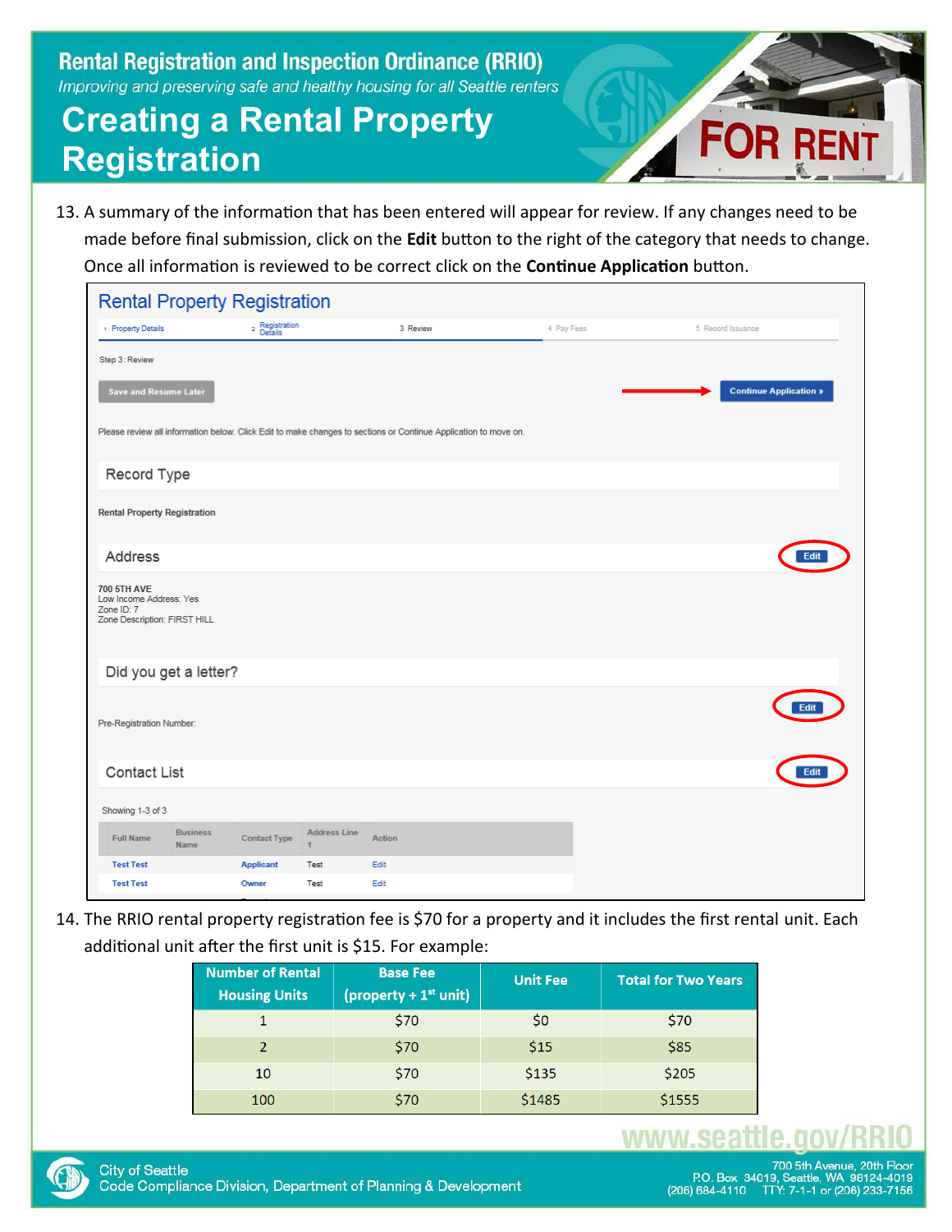# **Creating a Rental Property Registration**



13. A summary of the information that has been entered will appear for review. If any changes need to be made before final submission, click on the **Edit** button to the right of the category that needs to change. Once all information is reviewed to be correct click on the **Continue Application** button.

| <b>Rental Property Registration</b>                                                         |                                                                                                                 |                           |                                       |               |            |  |                               |
|---------------------------------------------------------------------------------------------|-----------------------------------------------------------------------------------------------------------------|---------------------------|---------------------------------------|---------------|------------|--|-------------------------------|
| + Property Details                                                                          |                                                                                                                 | 2 Registration<br>Details |                                       | 3 Review      | 4 Pay Fees |  | 5 Record Issuance             |
| Step 3: Review                                                                              |                                                                                                                 |                           |                                       |               |            |  |                               |
| <b>Save and Resume Later</b>                                                                |                                                                                                                 |                           |                                       |               |            |  | <b>Continue Application »</b> |
|                                                                                             | Please review all information below. Click Edit to make changes to sections or Continue Application to move on. |                           |                                       |               |            |  |                               |
| Record Type                                                                                 |                                                                                                                 |                           |                                       |               |            |  |                               |
| <b>Rental Property Registration</b>                                                         |                                                                                                                 |                           |                                       |               |            |  |                               |
| <b>Address</b>                                                                              |                                                                                                                 |                           |                                       |               |            |  | Edit                          |
| <b>700 5TH AVE</b><br>Low Income Address: Yes<br>Zone ID: 7<br>Zone Description: FIRST HILL |                                                                                                                 |                           |                                       |               |            |  |                               |
|                                                                                             | Did you get a letter?                                                                                           |                           |                                       |               |            |  |                               |
| Pre-Registration Number:                                                                    |                                                                                                                 |                           |                                       |               |            |  |                               |
| <b>Contact List</b>                                                                         |                                                                                                                 |                           |                                       |               |            |  | Edi                           |
| Showing 1-3 of 3                                                                            |                                                                                                                 |                           |                                       |               |            |  |                               |
| <b>Full Name</b>                                                                            | <b>Business</b><br>Name                                                                                         | <b>Contact Type</b>       | <b>Address Line</b><br>$\blacksquare$ | <b>Action</b> |            |  |                               |
| <b>Test Test</b>                                                                            |                                                                                                                 | <b>Applicant</b>          | Test                                  | Edit          |            |  |                               |
| <b>Test Test</b>                                                                            |                                                                                                                 | Owner                     | Test                                  | Edit          |            |  |                               |

14. The RRIO rental property registration fee is \$70 for a property and it includes the first rental unit. Each additional unit after the first unit is \$15. For example:

| <b>Number of Rental</b><br><b>Housing Units</b> | <b>Base Fee</b><br>$\frac{1}{2}$ (property + 1 <sup>st</sup> unit) | <b>Unit Fee</b> | <b>Total for Two Years</b> |
|-------------------------------------------------|--------------------------------------------------------------------|-----------------|----------------------------|
|                                                 | \$70                                                               | S <sub>0</sub>  | \$70                       |
|                                                 | \$70                                                               | \$15            | \$85                       |
| 10                                              | \$70                                                               | \$135           | \$205                      |
| 100                                             | \$70                                                               | \$1485          | \$1555                     |

### www.seattle

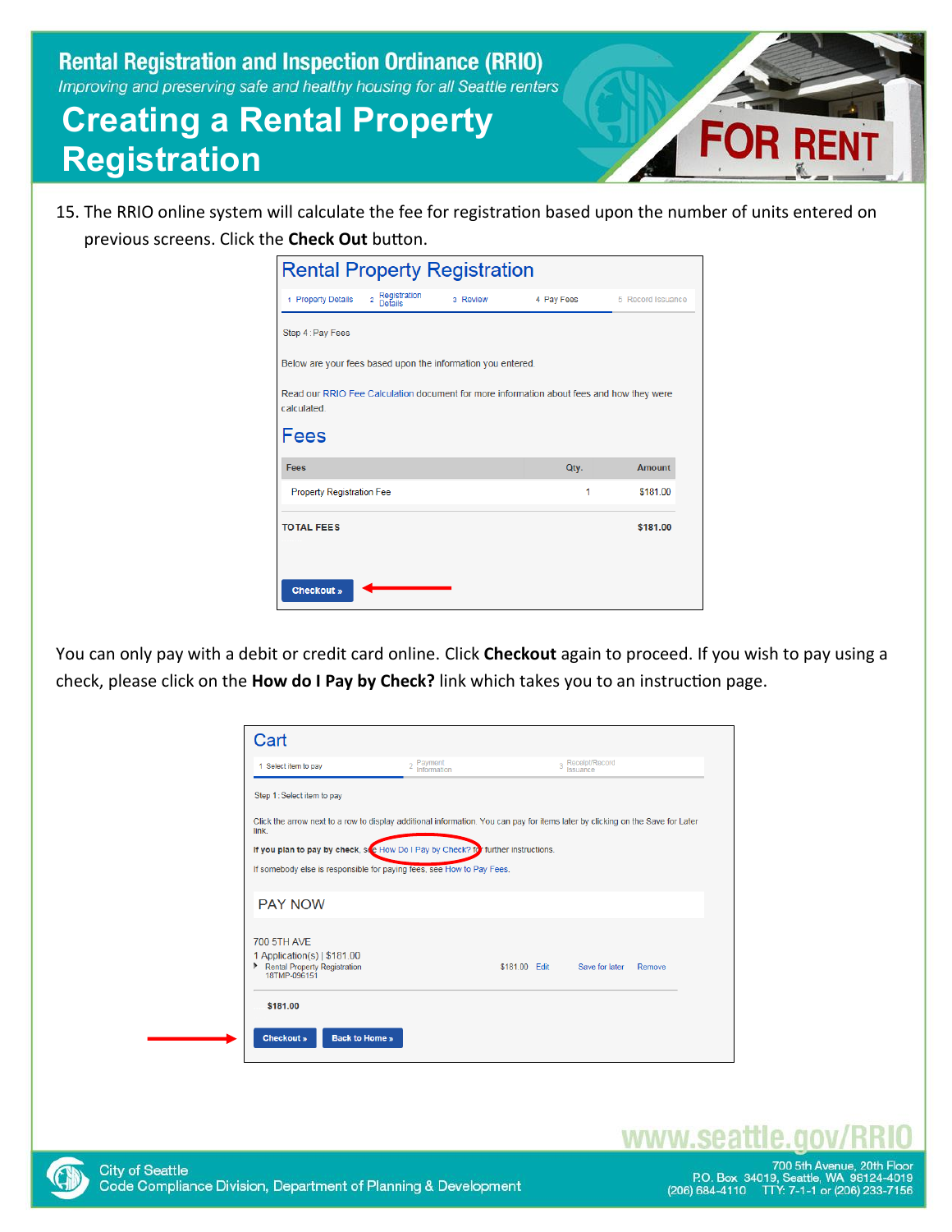# **Creating a Rental Property Registration**



15. The RRIO online system will calculate the fee for registration based upon the number of units entered on previous screens. Click the **Check Out** button.

| <b>Rental Property Registration</b>                                                                     |            |                   |
|---------------------------------------------------------------------------------------------------------|------------|-------------------|
| Registration<br>1 Property Details<br>$\overline{2}$<br>3 Review<br>Defails                             | 4 Pay Fees | 5 Record Issuance |
| Step 4: Pay Fees                                                                                        |            |                   |
| Below are your fees based upon the information you entered.                                             |            |                   |
| Read our RRIO Fee Calculation document for more information about fees and how they were<br>calculated. |            |                   |
| Fees                                                                                                    |            |                   |
| Fees                                                                                                    | Qty.       | <b>Amount</b>     |
| <b>Property Registration Fee</b>                                                                        | 1          | \$181.00          |
| <b>TOTAL FEES</b>                                                                                       |            | \$181.00          |
|                                                                                                         |            |                   |
| <b>Checkout »</b>                                                                                       |            |                   |

You can only pay with a debit or credit card online. Click **Checkout** again to proceed. If you wish to pay using a check, please click on the **How do I Pay by Check?** link which takes you to an instruction page.

| 1 Select item to pay                                                                                                           | 2 Payment<br><sup>2</sup> Information                                 |               | 3 Receipt/Record<br>Issuance |        |
|--------------------------------------------------------------------------------------------------------------------------------|-----------------------------------------------------------------------|---------------|------------------------------|--------|
| Step 1: Select item to pay                                                                                                     |                                                                       |               |                              |        |
| Click the arrow next to a row to display additional information. You can pay for items later by clicking on the Save for Later |                                                                       |               |                              |        |
| link                                                                                                                           |                                                                       |               |                              |        |
| If you plan to pay by check, so How Do I Pay by Check? for further instructions.                                               |                                                                       |               |                              |        |
|                                                                                                                                |                                                                       |               |                              |        |
|                                                                                                                                | If somebody else is responsible for paying fees, see How to Pay Fees. |               |                              |        |
|                                                                                                                                |                                                                       |               |                              |        |
| <b>PAY NOW</b>                                                                                                                 |                                                                       |               |                              |        |
|                                                                                                                                |                                                                       |               |                              |        |
| <b>700 5TH AVE</b><br>1 Application(s)   \$181.00                                                                              |                                                                       |               |                              |        |
| Rental Property Registration<br>18TMP-096151                                                                                   |                                                                       | \$181.00 Edit | Save for later               | Remove |

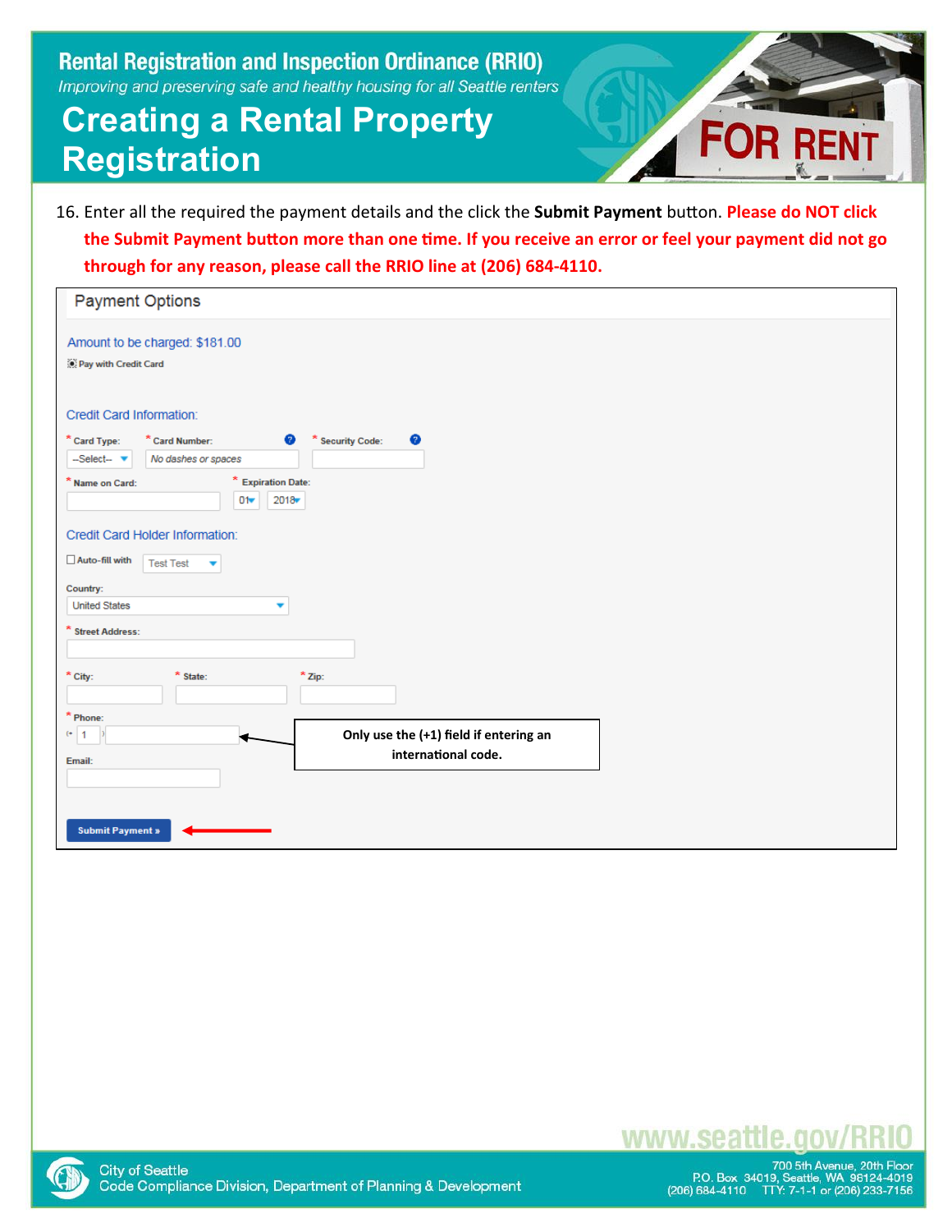# **Creating a Rental Property Registration**



16. Enter all the required the payment details and the click the **Submit Payment** button. **Please do NOT click the Submit Payment button more than one time. If you receive an error or feel your payment did not go through for any reason, please call the RRIO line at (206) 684-4110.**

| <b>Payment Options</b>                                                                          |
|-------------------------------------------------------------------------------------------------|
| Amount to be charged: \$181.00<br>Pay with Credit Card                                          |
| Credit Card Information:                                                                        |
| Ø<br>* Card Type:<br>◉<br>* Card Number:<br>* Security Code:<br>-Select-<br>No dashes or spaces |
| * Expiration Date:<br>* Name on Card:<br>$2018 -$<br>01                                         |
| Credit Card Holder Information:                                                                 |
| Auto-fill with<br><b>Test Test</b><br>▼<br>Country:                                             |
| <b>United States</b><br>$\overline{\phantom{a}}$                                                |
| * Street Address:                                                                               |
| $*$ City:<br>* State:<br>$*$ Zip:                                                               |
| * Phone:<br>Only use the (+1) field if entering an<br>$(4)$ 1<br>international code.            |
| Email:                                                                                          |
| <b>Submit Payment »</b>                                                                         |



www.seattle.gov